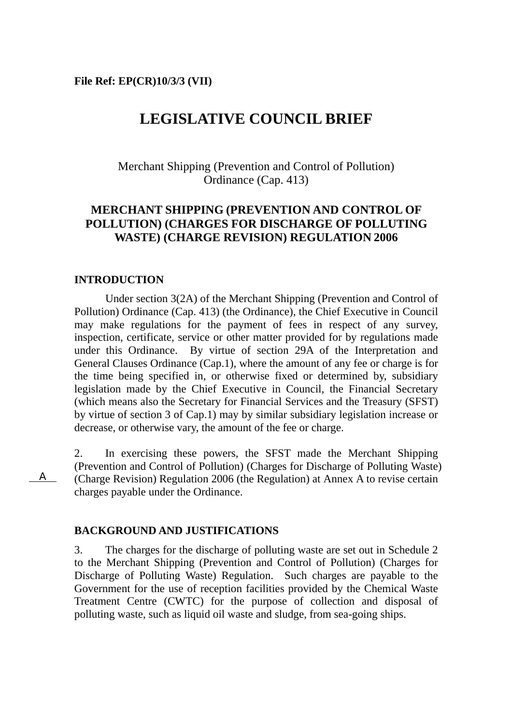# **LEGISLATIVE COUNCIL BRIEF**

Merchant Shipping (Prevention and Control of Pollution) Ordinance (Cap. 413)

### **MERCHANT SHIPPING (PREVENTION AND CONTROL OF POLLUTION) (CHARGES FOR DISCHARGE OF POLLUTING WASTE) (CHARGE REVISION) REGULATION 2006**

#### **INTRODUCTION**

A

 Under section 3(2A) of the Merchant Shipping (Prevention and Control of Pollution) Ordinance (Cap. 413) (the Ordinance), the Chief Executive in Council may make regulations for the payment of fees in respect of any survey, inspection, certificate, service or other matter provided for by regulations made under this Ordinance. By virtue of section 29A of the Interpretation and General Clauses Ordinance (Cap.1), where the amount of any fee or charge is for the time being specified in, or otherwise fixed or determined by, subsidiary legislation made by the Chief Executive in Council, the Financial Secretary (which means also the Secretary for Financial Services and the Treasury (SFST) by virtue of section 3 of Cap.1) may by similar subsidiary legislation increase or decrease, or otherwise vary, the amount of the fee or charge.

2. In exercising these powers, the SFST made the Merchant Shipping (Prevention and Control of Pollution) (Charges for Discharge of Polluting Waste) (Charge Revision) Regulation 2006 (the Regulation) at Annex A to revise certain charges payable under the Ordinance.

#### **BACKGROUND AND JUSTIFICATIONS**

3. The charges for the discharge of polluting waste are set out in Schedule 2 to the Merchant Shipping (Prevention and Control of Pollution) (Charges for Discharge of Polluting Waste) Regulation. Such charges are payable to the Government for the use of reception facilities provided by the Chemical Waste Treatment Centre (CWTC) for the purpose of collection and disposal of polluting waste, such as liquid oil waste and sludge, from sea-going ships.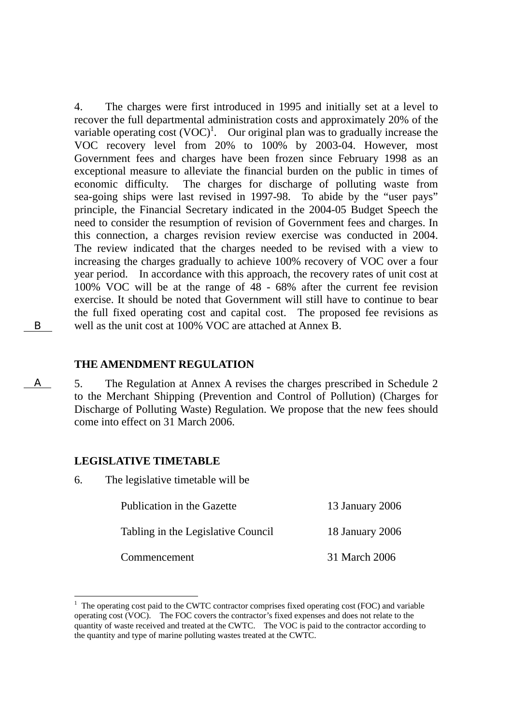4. The charges were first introduced in 1995 and initially set at a level to recover the full departmental administration costs and approximately 20% of the variable operating  $cost (VOC)^1$ . Our original plan was to gradually increase the VOC recovery level from 20% to 100% by 2003-04. However, most Government fees and charges have been frozen since February 1998 as an exceptional measure to alleviate the financial burden on the public in times of economic difficulty. The charges for discharge of polluting waste from sea-going ships were last revised in 1997-98. To abide by the "user pays" principle, the Financial Secretary indicated in the 2004-05 Budget Speech the need to consider the resumption of revision of Government fees and charges. In this connection, a charges revision review exercise was conducted in 2004. The review indicated that the charges needed to be revised with a view to increasing the charges gradually to achieve 100% recovery of VOC over a four year period. In accordance with this approach, the recovery rates of unit cost at 100% VOC will be at the range of 48 - 68% after the current fee revision exercise. It should be noted that Government will still have to continue to bear the full fixed operating cost and capital cost. The proposed fee revisions as well as the unit cost at 100% VOC are attached at Annex B.

#### **THE AMENDMENT REGULATION**

5. The Regulation at Annex A revises the charges prescribed in Schedule 2 to the Merchant Shipping (Prevention and Control of Pollution) (Charges for Discharge of Polluting Waste) Regulation. We propose that the new fees should come into effect on 31 March 2006.

#### **LEGISLATIVE TIMETABLE**

6. The legislative timetable will be

|              | Publication in the Gazette         | 13 January 2006 |  |
|--------------|------------------------------------|-----------------|--|
|              | Tabling in the Legislative Council | 18 January 2006 |  |
| Commencement |                                    | 31 March 2006   |  |

<sup>&</sup>lt;sup>1</sup> The operating cost paid to the CWTC contractor comprises fixed operating cost (FOC) and variable operating cost (VOC). The FOC covers the contractor's fixed expenses and does not relate to the quantity of waste received and treated at the CWTC. The VOC is paid to the contractor according to the quantity and type of marine polluting wastes treated at the CWTC.

B

A

 $\overline{a}$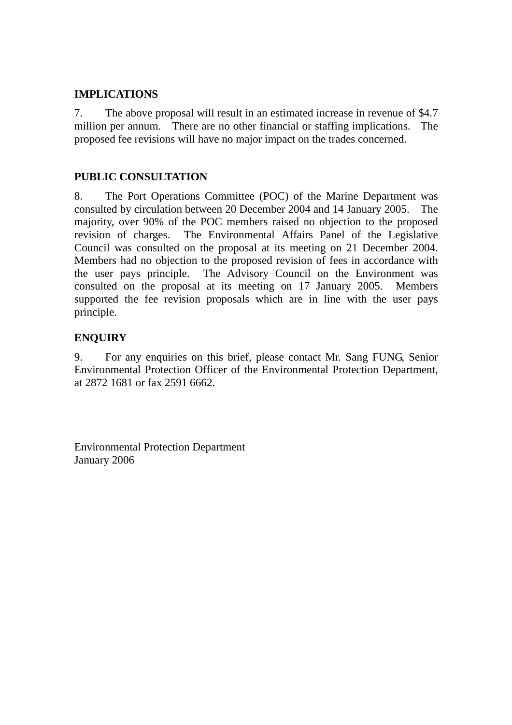#### **IMPLICATIONS**

7. The above proposal will result in an estimated increase in revenue of \$4.7 million per annum. There are no other financial or staffing implications. The proposed fee revisions will have no major impact on the trades concerned.

### **PUBLIC CONSULTATION**

8. The Port Operations Committee (POC) of the Marine Department was consulted by circulation between 20 December 2004 and 14 January 2005. The majority, over 90% of the POC members raised no objection to the proposed revision of charges. The Environmental Affairs Panel of the Legislative Council was consulted on the proposal at its meeting on 21 December 2004. Members had no objection to the proposed revision of fees in accordance with the user pays principle. The Advisory Council on the Environment was consulted on the proposal at its meeting on 17 January 2005. Members supported the fee revision proposals which are in line with the user pays principle.

### **ENQUIRY**

9. For any enquiries on this brief, please contact Mr. Sang FUNG, Senior Environmental Protection Officer of the Environmental Protection Department, at 2872 1681 or fax 2591 6662.

Environmental Protection Department January 2006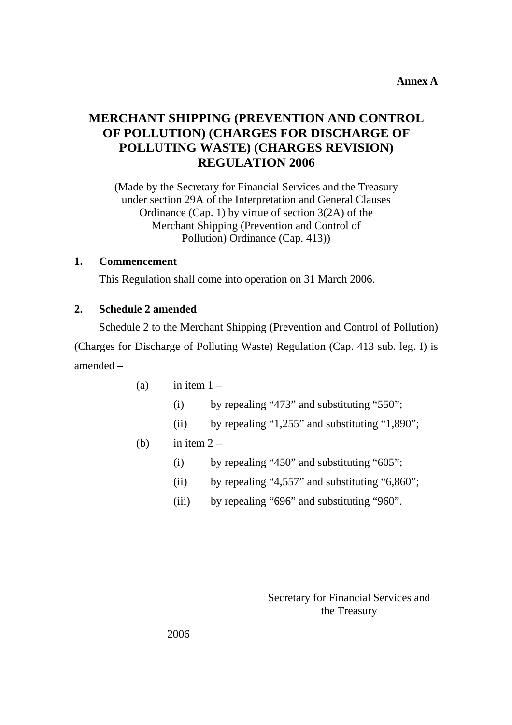**Annex A** 

# **MERCHANT SHIPPING (PREVENTION AND CONTROL OF POLLUTION) (CHARGES FOR DISCHARGE OF POLLUTING WASTE) (CHARGES REVISION) REGULATION 2006**

(Made by the Secretary for Financial Services and the Treasury under section 29A of the Interpretation and General Clauses Ordinance (Cap. 1) by virtue of section 3(2A) of the Merchant Shipping (Prevention and Control of Pollution) Ordinance (Cap. 413))

### **1. Commencement**

This Regulation shall come into operation on 31 March 2006.

#### **2. Schedule 2 amended**

Schedule 2 to the Merchant Shipping (Prevention and Control of Pollution) (Charges for Discharge of Polluting Waste) Regulation (Cap. 413 sub. leg. I) is amended –

- (a) in item  $1 -$ 
	- (i) by repealing "473" and substituting "550";
	- (ii) by repealing "1,255" and substituting "1,890";

### (b) in item  $2 -$

- (i) by repealing "450" and substituting "605";
- (ii) by repealing "4,557" and substituting "6,860";
- (iii) by repealing "696" and substituting "960".

Secretary for Financial Services and the Treasury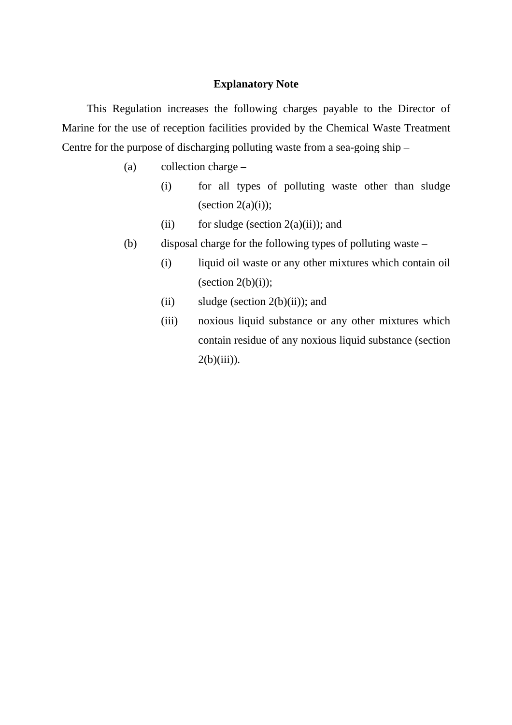### **Explanatory Note**

This Regulation increases the following charges payable to the Director of Marine for the use of reception facilities provided by the Chemical Waste Treatment Centre for the purpose of discharging polluting waste from a sea-going ship –

- (a) collection charge
	- (i) for all types of polluting waste other than sludge (section  $2(a)(i)$ );
	- (ii) for sludge (section  $2(a)(ii)$ ); and
- (b) disposal charge for the following types of polluting waste
	- (i) liquid oil waste or any other mixtures which contain oil (section  $2(b)(i)$ );
	- (ii) sludge (section  $2(b)(ii)$ ); and
	- (iii) noxious liquid substance or any other mixtures which contain residue of any noxious liquid substance (section  $2(b)(iii)$ ).